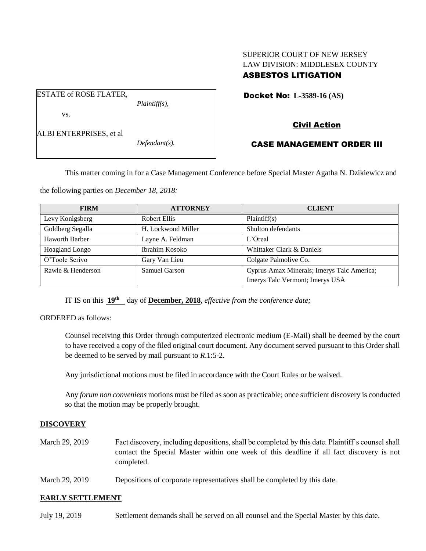# SUPERIOR COURT OF NEW JERSEY LAW DIVISION: MIDDLESEX COUNTY ASBESTOS LITIGATION

Docket No: **L-3589-16 (AS)** 

vs.

ALBI ENTERPRISES, et al

ESTATE of ROSE FLATER,

*Defendant(s).*

*Plaintiff(s),*

# Civil Action

# CASE MANAGEMENT ORDER III

This matter coming in for a Case Management Conference before Special Master Agatha N. Dzikiewicz and

the following parties on *December 18, 2018:*

| <b>FIRM</b>           | <b>ATTORNEY</b>    | <b>CLIENT</b>                              |
|-----------------------|--------------------|--------------------------------------------|
| Levy Konigsberg       | Robert Ellis       | Plaintiff(s)                               |
| Goldberg Segalla      | H. Lockwood Miller | Shulton defendants                         |
| <b>Haworth Barber</b> | Layne A. Feldman   | $L'$ Oreal                                 |
| Hoagland Longo        | Ibrahim Kosoko     | Whittaker Clark & Daniels                  |
| O'Toole Scrivo        | Gary Van Lieu      | Colgate Palmolive Co.                      |
| Rawle & Henderson     | Samuel Garson      | Cyprus Amax Minerals; Imerys Talc America; |
|                       |                    | Imerys Talc Vermont; Imerys USA            |

IT IS on this  $19^{\text{th}}$  day of **December, 2018**, *effective from the conference date*;

ORDERED as follows:

Counsel receiving this Order through computerized electronic medium (E-Mail) shall be deemed by the court to have received a copy of the filed original court document. Any document served pursuant to this Order shall be deemed to be served by mail pursuant to *R*.1:5-2.

Any jurisdictional motions must be filed in accordance with the Court Rules or be waived.

Any *forum non conveniens* motions must be filed as soon as practicable; once sufficient discovery is conducted so that the motion may be properly brought.

## **DISCOVERY**

- March 29, 2019 Fact discovery, including depositions, shall be completed by this date. Plaintiff's counsel shall contact the Special Master within one week of this deadline if all fact discovery is not completed.
- March 29, 2019 Depositions of corporate representatives shall be completed by this date.

## **EARLY SETTLEMENT**

July 19, 2019 Settlement demands shall be served on all counsel and the Special Master by this date.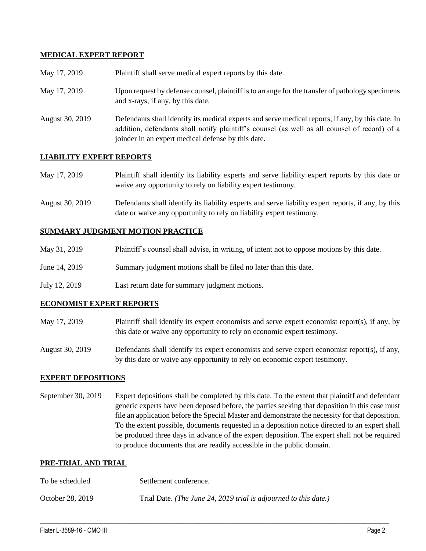## **MEDICAL EXPERT REPORT**

| May 17, 2019    | Plaintiff shall serve medical expert reports by this date.                                                                                                                                                                                               |  |
|-----------------|----------------------------------------------------------------------------------------------------------------------------------------------------------------------------------------------------------------------------------------------------------|--|
| May 17, 2019    | Upon request by defense counsel, plaintiff is to arrange for the transfer of pathology specimens<br>and x-rays, if any, by this date.                                                                                                                    |  |
| August 30, 2019 | Defendants shall identify its medical experts and serve medical reports, if any, by this date. In<br>addition, defendants shall notify plaintiff's counsel (as well as all counsel of record) of a<br>joinder in an expert medical defense by this date. |  |

## **LIABILITY EXPERT REPORTS**

| May 17, 2019 | Plaintiff shall identify its liability experts and serve liability expert reports by this date or |
|--------------|---------------------------------------------------------------------------------------------------|
|              | waive any opportunity to rely on liability expert testimony.                                      |

August 30, 2019 Defendants shall identify its liability experts and serve liability expert reports, if any, by this date or waive any opportunity to rely on liability expert testimony.

### **SUMMARY JUDGMENT MOTION PRACTICE**

| May 31, 2019<br>Plaintiff's counsel shall advise, in writing, of intent not to oppose motions by this date. |  |
|-------------------------------------------------------------------------------------------------------------|--|
|-------------------------------------------------------------------------------------------------------------|--|

- June 14, 2019 Summary judgment motions shall be filed no later than this date.
- July 12, 2019 Last return date for summary judgment motions.

### **ECONOMIST EXPERT REPORTS**

May 17, 2019 Plaintiff shall identify its expert economists and serve expert economist report(s), if any, by this date or waive any opportunity to rely on economic expert testimony.

August 30, 2019 Defendants shall identify its expert economists and serve expert economist report(s), if any, by this date or waive any opportunity to rely on economic expert testimony.

### **EXPERT DEPOSITIONS**

September 30, 2019 Expert depositions shall be completed by this date. To the extent that plaintiff and defendant generic experts have been deposed before, the parties seeking that deposition in this case must file an application before the Special Master and demonstrate the necessity for that deposition. To the extent possible, documents requested in a deposition notice directed to an expert shall be produced three days in advance of the expert deposition. The expert shall not be required to produce documents that are readily accessible in the public domain.

 $\_$  ,  $\_$  ,  $\_$  ,  $\_$  ,  $\_$  ,  $\_$  ,  $\_$  ,  $\_$  ,  $\_$  ,  $\_$  ,  $\_$  ,  $\_$  ,  $\_$  ,  $\_$  ,  $\_$  ,  $\_$  ,  $\_$  ,  $\_$  ,  $\_$  ,  $\_$  ,  $\_$  ,  $\_$  ,  $\_$  ,  $\_$  ,  $\_$  ,  $\_$  ,  $\_$  ,  $\_$  ,  $\_$  ,  $\_$  ,  $\_$  ,  $\_$  ,  $\_$  ,  $\_$  ,  $\_$  ,  $\_$  ,  $\_$  ,

### **PRE-TRIAL AND TRIAL**

| To be scheduled  | Settlement conference.                                           |  |
|------------------|------------------------------------------------------------------|--|
| October 28, 2019 | Trial Date. (The June 24, 2019 trial is adjourned to this date.) |  |